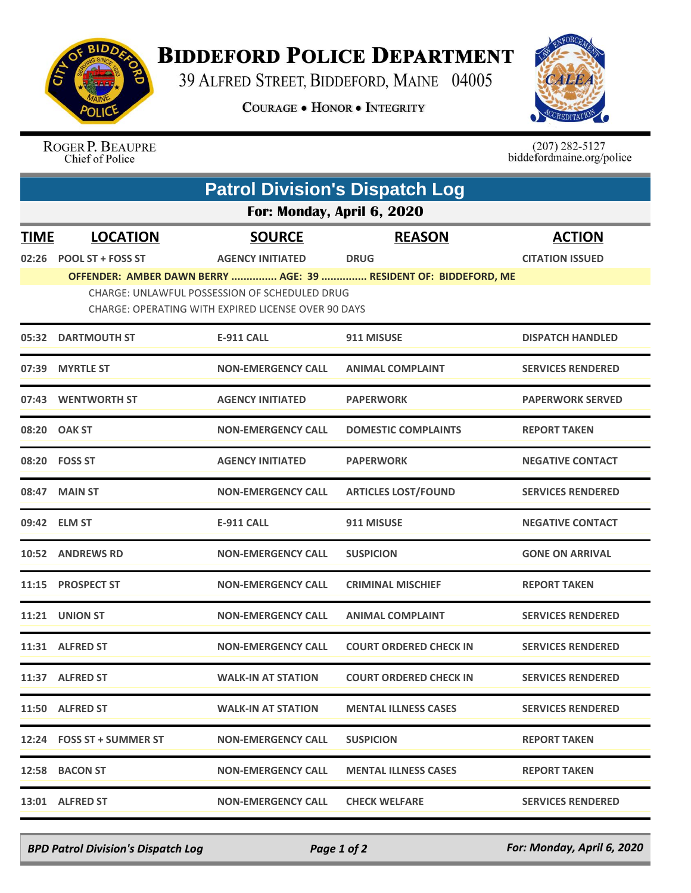

## **BIDDEFORD POLICE DEPARTMENT**

39 ALFRED STREET, BIDDEFORD, MAINE 04005

**COURAGE . HONOR . INTEGRITY** 



ROGER P. BEAUPRE<br>Chief of Police

 $(207)$  282-5127<br>biddefordmaine.org/police

|                            | <b>Patrol Division's Dispatch Log</b>                                                                              |                           |                                                                 |                          |  |  |  |  |
|----------------------------|--------------------------------------------------------------------------------------------------------------------|---------------------------|-----------------------------------------------------------------|--------------------------|--|--|--|--|
| For: Monday, April 6, 2020 |                                                                                                                    |                           |                                                                 |                          |  |  |  |  |
| <b>TIME</b>                | <b>LOCATION</b>                                                                                                    | <b>SOURCE</b>             | <b>REASON</b>                                                   | <b>ACTION</b>            |  |  |  |  |
| 02:26                      | <b>POOL ST + FOSS ST</b>                                                                                           | <b>AGENCY INITIATED</b>   | <b>DRUG</b>                                                     | <b>CITATION ISSUED</b>   |  |  |  |  |
|                            |                                                                                                                    |                           | OFFENDER: AMBER DAWN BERRY  AGE: 39  RESIDENT OF: BIDDEFORD, ME |                          |  |  |  |  |
|                            | <b>CHARGE: UNLAWFUL POSSESSION OF SCHEDULED DRUG</b><br><b>CHARGE: OPERATING WITH EXPIRED LICENSE OVER 90 DAYS</b> |                           |                                                                 |                          |  |  |  |  |
|                            | 05:32 DARTMOUTH ST                                                                                                 | <b>E-911 CALL</b>         | 911 MISUSE                                                      | <b>DISPATCH HANDLED</b>  |  |  |  |  |
|                            | 07:39 MYRTLE ST                                                                                                    | <b>NON-EMERGENCY CALL</b> | <b>ANIMAL COMPLAINT</b>                                         | <b>SERVICES RENDERED</b> |  |  |  |  |
|                            | 07:43 WENTWORTH ST                                                                                                 | <b>AGENCY INITIATED</b>   | <b>PAPERWORK</b>                                                | <b>PAPERWORK SERVED</b>  |  |  |  |  |
|                            | 08:20 OAK ST                                                                                                       | <b>NON-EMERGENCY CALL</b> | <b>DOMESTIC COMPLAINTS</b>                                      | <b>REPORT TAKEN</b>      |  |  |  |  |
|                            | 08:20 FOSS ST                                                                                                      | <b>AGENCY INITIATED</b>   | <b>PAPERWORK</b>                                                | <b>NEGATIVE CONTACT</b>  |  |  |  |  |
|                            | 08:47 MAIN ST                                                                                                      | <b>NON-EMERGENCY CALL</b> | <b>ARTICLES LOST/FOUND</b>                                      | <b>SERVICES RENDERED</b> |  |  |  |  |
|                            | 09:42 ELM ST                                                                                                       | <b>E-911 CALL</b>         | 911 MISUSE                                                      | <b>NEGATIVE CONTACT</b>  |  |  |  |  |
|                            | 10:52 ANDREWS RD                                                                                                   | <b>NON-EMERGENCY CALL</b> | <b>SUSPICION</b>                                                | <b>GONE ON ARRIVAL</b>   |  |  |  |  |
|                            | 11:15 PROSPECT ST                                                                                                  | <b>NON-EMERGENCY CALL</b> | <b>CRIMINAL MISCHIEF</b>                                        | <b>REPORT TAKEN</b>      |  |  |  |  |
|                            | <b>11:21 UNION ST</b>                                                                                              | <b>NON-EMERGENCY CALL</b> | <b>ANIMAL COMPLAINT</b>                                         | <b>SERVICES RENDERED</b> |  |  |  |  |
|                            | 11:31 ALFRED ST                                                                                                    | <b>NON-EMERGENCY CALL</b> | <b>COURT ORDERED CHECK IN</b>                                   | <b>SERVICES RENDERED</b> |  |  |  |  |
|                            | 11:37 ALFRED ST                                                                                                    | <b>WALK-IN AT STATION</b> | <b>COURT ORDERED CHECK IN</b>                                   | <b>SERVICES RENDERED</b> |  |  |  |  |
|                            | 11:50 ALFRED ST                                                                                                    | <b>WALK-IN AT STATION</b> | <b>MENTAL ILLNESS CASES</b>                                     | <b>SERVICES RENDERED</b> |  |  |  |  |
|                            | 12:24 FOSS ST + SUMMER ST                                                                                          | <b>NON-EMERGENCY CALL</b> | <b>SUSPICION</b>                                                | <b>REPORT TAKEN</b>      |  |  |  |  |
|                            | 12:58 BACON ST                                                                                                     | <b>NON-EMERGENCY CALL</b> | <b>MENTAL ILLNESS CASES</b>                                     | <b>REPORT TAKEN</b>      |  |  |  |  |
|                            | 13:01 ALFRED ST                                                                                                    | <b>NON-EMERGENCY CALL</b> | <b>CHECK WELFARE</b>                                            | <b>SERVICES RENDERED</b> |  |  |  |  |

*BPD Patrol Division's Dispatch Log Page 1 of 2 For: Monday, April 6, 2020*